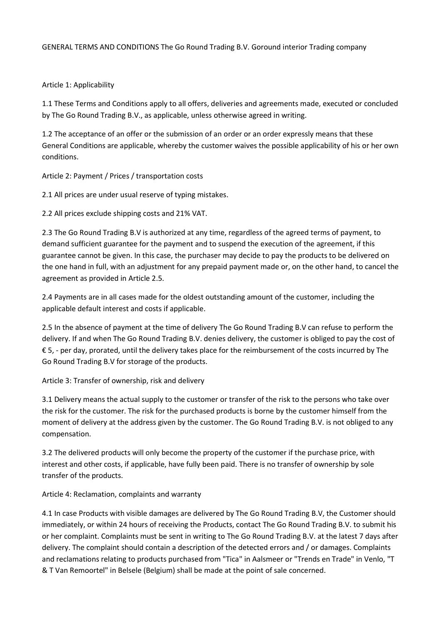## GENERAL TERMS AND CONDITIONS The Go Round Trading B.V. Goround interior Trading company

## Article 1: Applicability

1.1 These Terms and Conditions apply to all offers, deliveries and agreements made, executed or concluded by The Go Round Trading B.V., as applicable, unless otherwise agreed in writing.

1.2 The acceptance of an offer or the submission of an order or an order expressly means that these General Conditions are applicable, whereby the customer waives the possible applicability of his or her own conditions.

Article 2: Payment / Prices / transportation costs

2.1 All prices are under usual reserve of typing mistakes.

2.2 All prices exclude shipping costs and 21% VAT.

2.3 The Go Round Trading B.V is authorized at any time, regardless of the agreed terms of payment, to demand sufficient guarantee for the payment and to suspend the execution of the agreement, if this guarantee cannot be given. In this case, the purchaser may decide to pay the products to be delivered on the one hand in full, with an adjustment for any prepaid payment made or, on the other hand, to cancel the agreement as provided in Article 2.5.

2.4 Payments are in all cases made for the oldest outstanding amount of the customer, including the applicable default interest and costs if applicable.

2.5 In the absence of payment at the time of delivery The Go Round Trading B.V can refuse to perform the delivery. If and when The Go Round Trading B.V. denies delivery, the customer is obliged to pay the cost of € 5, - per day, prorated, until the delivery takes place for the reimbursement of the costs incurred by The Go Round Trading B.V for storage of the products.

Article 3: Transfer of ownership, risk and delivery

3.1 Delivery means the actual supply to the customer or transfer of the risk to the persons who take over the risk for the customer. The risk for the purchased products is borne by the customer himself from the moment of delivery at the address given by the customer. The Go Round Trading B.V. is not obliged to any compensation.

3.2 The delivered products will only become the property of the customer if the purchase price, with interest and other costs, if applicable, have fully been paid. There is no transfer of ownership by sole transfer of the products.

Article 4: Reclamation, complaints and warranty

4.1 In case Products with visible damages are delivered by The Go Round Trading B.V, the Customer should immediately, or within 24 hours of receiving the Products, contact The Go Round Trading B.V. to submit his or her complaint. Complaints must be sent in writing to The Go Round Trading B.V. at the latest 7 days after delivery. The complaint should contain a description of the detected errors and / or damages. Complaints and reclamations relating to products purchased from "Tica" in Aalsmeer or "Trends en Trade" in Venlo, "T & T Van Remoortel" in Belsele (Belgium) shall be made at the point of sale concerned.